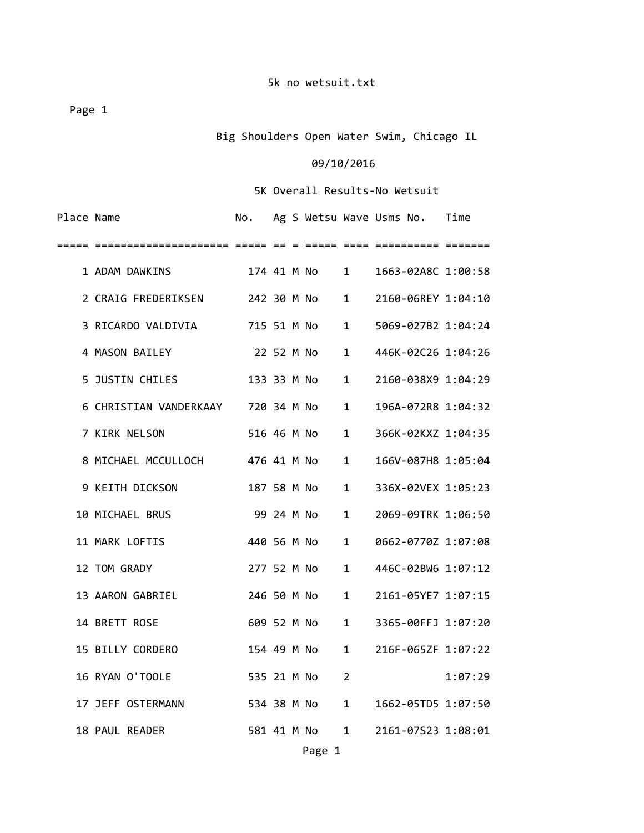Big Shoulders Open Water Swim, Chicago IL

## 09/10/2016

| Place Name |                                    | No.         |  |               |                        | Ag S Wetsu Wave Usms No. | Time    |
|------------|------------------------------------|-------------|--|---------------|------------------------|--------------------------|---------|
|            |                                    |             |  |               |                        |                          |         |
|            | 1 ADAM DAWKINS                     |             |  |               |                        | 1663-02A8C 1:00:58       |         |
|            | 2 CRAIG FREDERIKSEN 242 30 M No 1  |             |  |               |                        | 2160-06REY 1:04:10       |         |
|            | 3 RICARDO VALDIVIA                 |             |  | 715 51 M No   | $1 \quad \blacksquare$ | 5069-027B2 1:04:24       |         |
|            | 4 MASON BAILEY                     |             |  | 22 52 M No    | $\mathbf{1}$           | 446K-02C26 1:04:26       |         |
|            | 5 JUSTIN CHILES                    |             |  |               | $\mathbf{1}$           | 2160-038X9 1:04:29       |         |
|            | 6 CHRISTIAN VANDERKAAY 720 34 M No |             |  |               | $\mathbf{1}$           | 196A-072R8 1:04:32       |         |
|            | 7 KIRK NELSON                      |             |  | 516 46 M No   | $\mathbf{1}$           | 366K-02KXZ 1:04:35       |         |
|            | 8 MICHAEL MCCULLOCH 476 41 M No    |             |  |               | $\mathbf{1}$           | 166V-087H8 1:05:04       |         |
|            | 9 KEITH DICKSON                    | 187 58 M No |  |               | $\mathbf{1}$           | 336X-02VEX 1:05:23       |         |
|            | 10 MICHAEL BRUS                    | 99 24 M No  |  |               | $\mathbf{1}$           | 2069-09TRK 1:06:50       |         |
|            | 11 MARK LOFTIS                     | 440 56 M No |  |               | $\mathbf{1}$           | 0662-0770Z 1:07:08       |         |
|            | 12 TOM GRADY                       | 277 52 M No |  |               | 1                      | 446C-02BW6 1:07:12       |         |
|            | 13 AARON GABRIEL                   |             |  | 246 50 M No   | $\mathbf{1}$           | 2161-05YE7 1:07:15       |         |
|            | 14 BRETT ROSE                      |             |  | 609 52 M No   | $\mathbf{1}$           | 3365-00FFJ 1:07:20       |         |
|            | 15 BILLY CORDERO                   |             |  | 154 49 M No   | $\mathbf{1}$           | 216F-065ZF 1:07:22       |         |
|            | 16 RYAN O'TOOLE                    | 535 21 M No |  |               | $\overline{2}$         |                          | 1:07:29 |
|            | 17 JEFF OSTERMANN                  |             |  | 534 38 M No   | $\mathbf{1}$           | 1662-05TD5 1:07:50       |         |
|            | 18 PAUL READER                     |             |  | 581 41 M No 1 |                        | 2161-07S23 1:08:01       |         |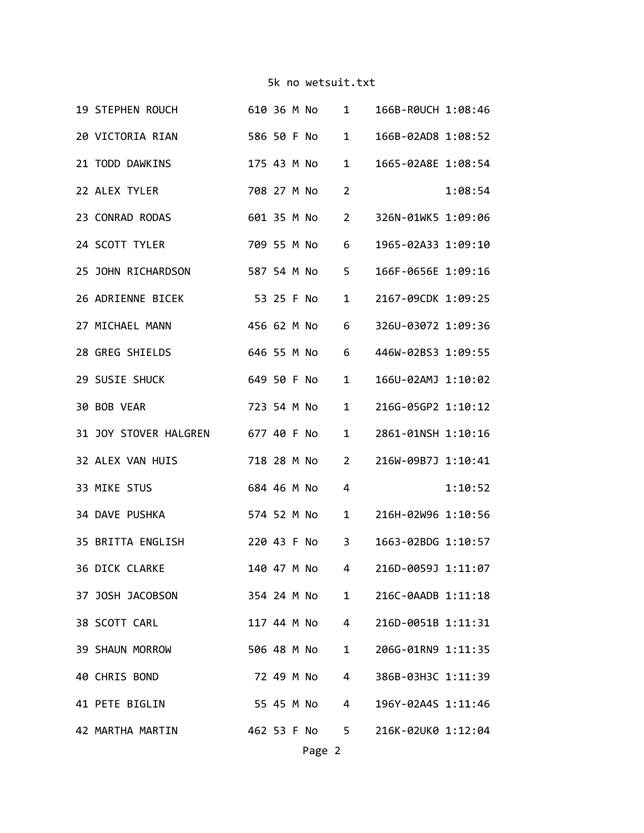| 19 STEPHEN ROUCH 610 36 M No      |             |  |             | $1 \quad \blacksquare$ | 166B-R0UCH 1:08:46               |         |
|-----------------------------------|-------------|--|-------------|------------------------|----------------------------------|---------|
| 20 VICTORIA RIAN                  |             |  | 586 50 F No | $1 \quad$              | 166B-02AD8 1:08:52               |         |
| 21 TODD DAWKINS                   |             |  |             | $\mathbf{1}$           | 1665-02A8E 1:08:54               |         |
| 22 ALEX TYLER                     | 708 27 M No |  |             | $2^{\circ}$            |                                  | 1:08:54 |
| 23 CONRAD RODAS                   |             |  | 601 35 M No | $2^{\circ}$            | 326N-01WK5 1:09:06               |         |
| 24 SCOTT TYLER                    |             |  | 709 55 M No | 6                      | 1965-02A33 1:09:10               |         |
| 587 54 M No<br>25 JOHN RICHARDSON |             |  |             | $5 -$                  | 166F-0656E 1:09:16               |         |
| 26 ADRIENNE BICEK<br>53 25 F No   |             |  |             | $\mathbf{1}$           | 2167-09CDK 1:09:25               |         |
| 27 MICHAEL MANN                   |             |  | 456 62 M No | 6                      | 326U-03072 1:09:36               |         |
| 28 GREG SHIELDS                   | 646 55 M No |  |             | 6                      | 446W-02BS3 1:09:55               |         |
| 29 SUSIE SHUCK                    | 649 50 F No |  |             | $\mathbf{1}$           | 166U-02AMJ 1:10:02               |         |
| 30 BOB VEAR                       | 723 54 M No |  |             | $\mathbf{1}$           | 216G-05GP2 1:10:12               |         |
| 31 JOY STOVER HALGREN 677 40 F No |             |  |             | $\mathbf{1}$           | 2861-01NSH 1:10:16               |         |
| 32 ALEX VAN HUIS                  |             |  | 718 28 M No | $\overline{2}$         | 216W-09B7J 1:10:41               |         |
| 33 MIKE STUS                      |             |  | 684 46 M No | 4                      |                                  | 1:10:52 |
| 34 DAVE PUSHKA                    |             |  | 574 52 M No | $1 \quad$              | 216H-02W96 1:10:56               |         |
| 35 BRITTA ENGLISH                 |             |  | 220 43 F No | $3^{\circ}$            | 1663-02BDG 1:10:57               |         |
| <b>36 DICK CLARKE</b>             |             |  | 140 47 M No |                        | 4 216D-0059J 1:11:07             |         |
| 37 JOSH JACOBSON                  |             |  |             |                        | 354 24 M No 1 216C-0AADB 1:11:18 |         |
| 38 SCOTT CARL                     |             |  | 117 44 M No | $\overline{4}$         | 216D-0051B 1:11:31               |         |
| 39 SHAUN MORROW                   |             |  | 506 48 M No | $1 \quad$              | 206G-01RN9 1:11:35               |         |
| 40 CHRIS BOND                     |             |  | 72 49 M No  | $4 \quad$              | 386B-03H3C 1:11:39               |         |
| 41 PETE BIGLIN                    |             |  | 55 45 M No  | $\overline{4}$         | 196Y-02A4S 1:11:46               |         |
| 42 MARTHA MARTIN                  |             |  | 462 53 F No |                        | 5 216K-02UK0 1:12:04             |         |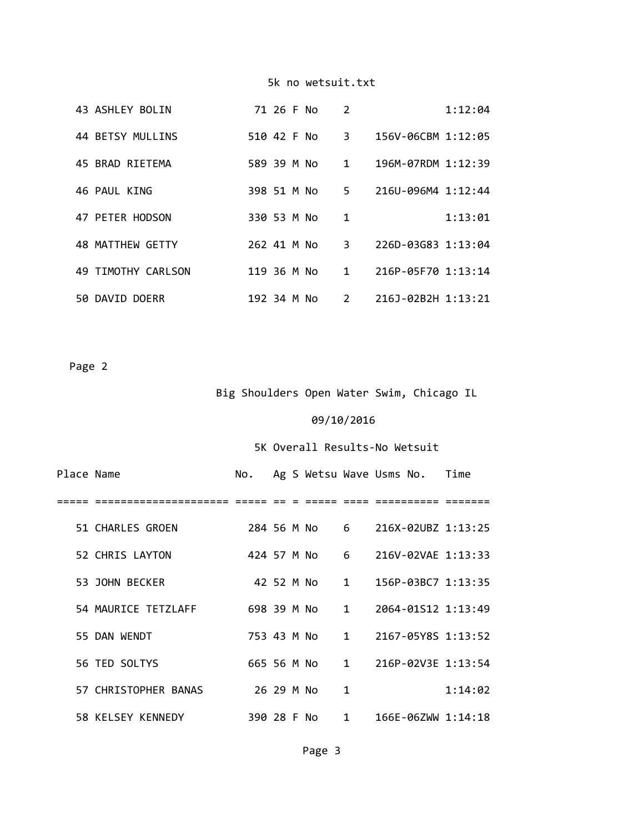| 43 ASHLEY BOLIN  |                    |             | 71 26 F No |  | $\mathcal{P}$ |                                        | 1:12:04 |  |
|------------------|--------------------|-------------|------------|--|---------------|----------------------------------------|---------|--|
| 44 BETSY MULLINS |                    | 510 42 F No |            |  | 3             | 156V-06CBM 1:12:05                     |         |  |
| 45 BRAD RIETEMA  |                    | 589 39 M No |            |  | $1 \quad$     | 196M-07RDM 1:12:39                     |         |  |
| 46 PAUL KING     |                    | 398 51 M No |            |  |               | $5 \qquad 2160 - 096M4 \qquad 1:12:44$ |         |  |
| 47 PETER HODSON  |                    | 330 53 M No |            |  | 1             |                                        | 1:13:01 |  |
| 48 MATTHEW GETTY |                    | 262 41 M No |            |  | 3.            | 226D-03G83 1:13:04                     |         |  |
|                  | 49 TIMOTHY CARLSON | 119 36 M No |            |  | $1 \quad$     | 216P-05F70 1:13:14                     |         |  |
| 50 DAVID DOERR   |                    | 192 34 M No |            |  | $2^{\circ}$   | 216J-02B2H 1:13:21                     |         |  |

Page 2

Big Shoulders Open Water Swim, Chicago IL

# 09/10/2016

| Place Name |                      | No.         |            |               |                        | Ag S Wetsu Wave Usms No. Time    |         |
|------------|----------------------|-------------|------------|---------------|------------------------|----------------------------------|---------|
|            |                      |             |            |               |                        |                                  |         |
|            | 51 CHARLES GROEN     |             |            | 284 56 M No 6 |                        | 216X-02UBZ 1:13:25               |         |
|            | 52 CHRIS LAYTON      | 424 57 M No |            |               | 6                      | 216V-02VAE 1:13:33               |         |
|            | 53 JOHN BECKER       |             | 42 52 M No |               | $\overline{1}$         | 156P-03BC7 1:13:35               |         |
|            | 54 MAURICE TETZLAFF  |             |            |               |                        | 698 39 M No 1 2064-01S12 1:13:49 |         |
|            | 55 DAN WENDT         |             |            | 753 43 M No   |                        | 1 2167-05Y8S 1:13:52             |         |
|            | 56 TED SOLTYS        | 665 56 M No |            |               |                        | 1 216P-02V3E 1:13:54             |         |
|            | 57 CHRISTOPHER BANAS |             | 26 29 M No |               | $\mathbf{1}$           |                                  | 1:14:02 |
|            | 58 KELSEY KENNEDY    | 390 28 F No |            |               | $1 \quad \blacksquare$ | $166E - 06Z$ WW $1:14:18$        |         |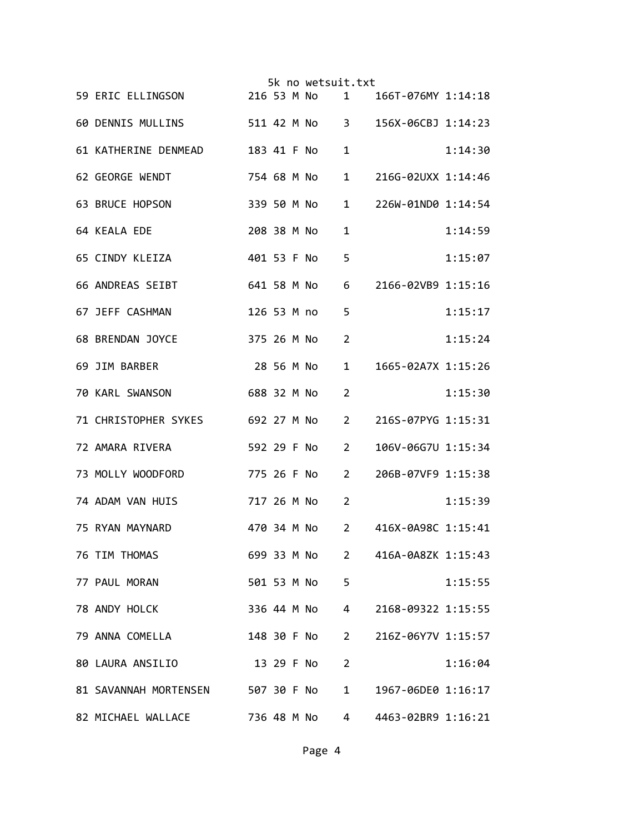|                                                    |             |  | 5k no wetsuit.txt |                        |                                  |         |
|----------------------------------------------------|-------------|--|-------------------|------------------------|----------------------------------|---------|
| 59 ERIC ELLINGSON 216 53 M No 1                    |             |  |                   |                        | 166T-076MY 1:14:18               |         |
| 60 DENNIS MULLINS 511 42 M No 3 156X-06CBJ 1:14:23 |             |  |                   |                        |                                  |         |
| 61 KATHERINE DENMEAD 183 41 F No                   |             |  |                   | $\mathbf{1}$           |                                  | 1:14:30 |
| 754 68 M No<br>62 GEORGE WENDT                     |             |  |                   | $1 \quad \blacksquare$ | 216G-02UXX 1:14:46               |         |
| 339 50 M No<br>63 BRUCE HOPSON                     |             |  |                   | $1 \quad \blacksquare$ | 226W-01ND0 1:14:54               |         |
| 64 KEALA EDE                                       |             |  | 208 38 M No       | $\mathbf{1}$           |                                  | 1:14:59 |
| 401 53 F No<br>65 CINDY KLEIZA                     |             |  |                   | 5                      |                                  | 1:15:07 |
| 641 58 M No<br>66 ANDREAS SEIBT                    |             |  |                   |                        | 6 2166-02VB9 1:15:16             |         |
| 67 JEFF CASHMAN                                    | 126 53 M no |  |                   | 5                      |                                  | 1:15:17 |
| 375 26 M No<br>68 BRENDAN JOYCE                    |             |  |                   | $\overline{2}$         |                                  | 1:15:24 |
| 69 JIM BARBER                                      |             |  | 28 56 M No        | $1 \quad \blacksquare$ | 1665-02A7X 1:15:26               |         |
| 70 KARL SWANSON<br>688 32 M No                     |             |  |                   | $2^{\circ}$            |                                  | 1:15:30 |
| 71 CHRISTOPHER SYKES 692 27 M No                   |             |  |                   | $2^{\circ}$            | 216S-07PYG 1:15:31               |         |
| 592 29 F No<br>72 AMARA RIVERA                     |             |  |                   | $2^{\sim}$             | 106V-06G7U 1:15:34               |         |
| 775 26 F No 2<br>73 MOLLY WOODFORD                 |             |  |                   |                        | 206B-07VF9 1:15:38               |         |
| 717 26 M No<br>74 ADAM VAN HUIS                    |             |  |                   | $2^{\circ}$            |                                  | 1:15:39 |
| 470 34 M No<br>75 RYAN MAYNARD                     |             |  |                   | $2^{\sim}$             | 416X-0A98C 1:15:41               |         |
| 76 TIM THOMAS                                      |             |  | 699 33 M No 2     |                        | 416A-0A8ZK 1:15:43               |         |
| 77 PAUL MORAN                                      |             |  | 501 53 M No       | 5 <sub>1</sub>         |                                  | 1:15:55 |
| 78 ANDY HOLCK                                      |             |  | 336 44 M No 4     |                        | 2168-09322 1:15:55               |         |
| 79 ANNA COMELLA                                    |             |  | 148 30 F No       | $2 \quad$              | 216Z-06Y7V 1:15:57               |         |
| 80 LAURA ANSILIO                                   |             |  | 13 29 F No        | $2^{\circ}$            |                                  | 1:16:04 |
| 81 SAVANNAH MORTENSEN 507 30 F No                  |             |  |                   | $1 \quad \blacksquare$ | 1967-06DE0 1:16:17               |         |
| 82 MICHAEL WALLACE                                 |             |  |                   |                        | 736 48 M No 4 4463-02BR9 1:16:21 |         |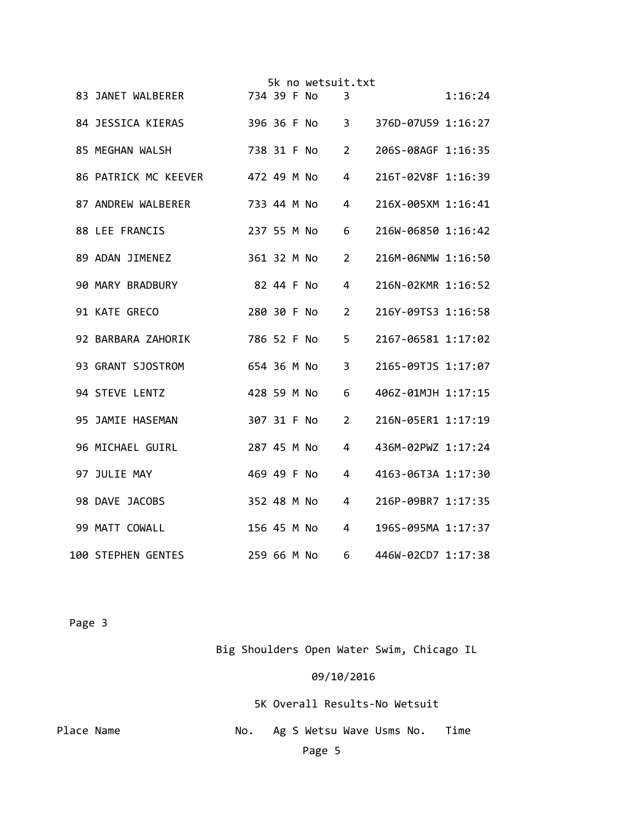|                                  |             |            | 5k no wetsuit.txt |                |                    |         |
|----------------------------------|-------------|------------|-------------------|----------------|--------------------|---------|
| 83 JANET WALBERER                | 734 39 F No |            |                   | 3              |                    | 1:16:24 |
| 84 JESSICA KIERAS                |             |            | 396 36 F No 3     |                | 376D-07U59 1:16:27 |         |
| 85 MEGHAN WALSH                  | 738 31 F No |            |                   | $\overline{2}$ | 206S-08AGF 1:16:35 |         |
| 86 PATRICK MC KEEVER 472 49 M No |             |            |                   | 4              | 216T-02V8F 1:16:39 |         |
| 87 ANDREW WALBERER               | 733 44 M No |            |                   | 4              | 216X-005XM 1:16:41 |         |
| 88 LEE FRANCIS                   | 237 55 M No |            |                   | 6              | 216W-06850 1:16:42 |         |
| 89 ADAN JIMENEZ                  | 361 32 M No |            |                   | $\overline{2}$ | 216M-06NMW 1:16:50 |         |
| 90 MARY BRADBURY                 |             | 82 44 F No |                   | 4              | 216N-02KMR 1:16:52 |         |
| 91 KATE GRECO                    | 280 30 F No |            |                   | $\overline{2}$ | 216Y-09TS3 1:16:58 |         |
| 92 BARBARA ZAHORIK               | 786 52 F No |            |                   | 5              | 2167-06581 1:17:02 |         |
| 93 GRANT SJOSTROM                | 654 36 M No |            |                   | 3              | 2165-09TJS 1:17:07 |         |
| 94 STEVE LENTZ                   | 428 59 M No |            |                   | 6              | 406Z-01MJH 1:17:15 |         |
| 95 JAMIE HASEMAN                 | 307 31 F No |            |                   | 2              | 216N-05ER1 1:17:19 |         |
| 96 MICHAEL GUIRL                 | 287 45 M No |            |                   | 4              | 436M-02PWZ 1:17:24 |         |
| 97 JULIE MAY                     | 469 49 F No |            |                   | 4              | 4163-06T3A 1:17:30 |         |
| 98 DAVE JACOBS                   | 352 48 M No |            |                   | 4              | 216P-09BR7 1:17:35 |         |
| 99 MATT COWALL                   |             |            |                   | $\overline{4}$ | 196S-095MA 1:17:37 |         |
| <b>100 STEPHEN GENTES</b>        | 259 66 M No |            |                   | 6              | 446W-02CD7 1:17:38 |         |

Big Shoulders Open Water Swim, Chicago IL

09/10/2016

5K Overall Results‐No Wetsuit

Place Name **1988** No. Ag S Wetsu Wave Usms No. Time Page 5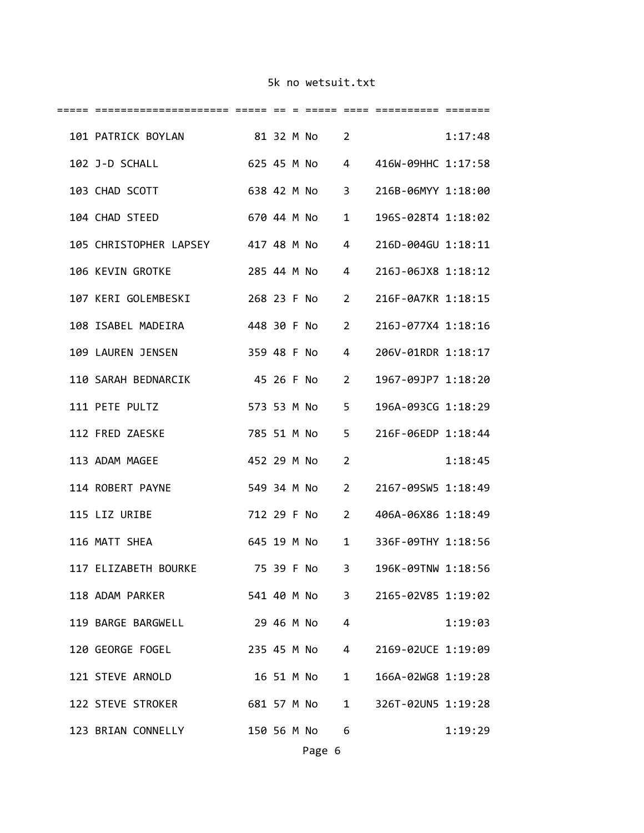| 101 PATRICK BOYLAN 81 32 M No 2    |               |  |               |                |                                  | 1:17:48 |
|------------------------------------|---------------|--|---------------|----------------|----------------------------------|---------|
| 102 J-D SCHALL                     |               |  |               |                | 625 45 M No 4 416W-09HHC 1:17:58 |         |
| 103 CHAD SCOTT                     |               |  | 638 42 M No 3 |                | 216B-06MYY 1:18:00               |         |
| 104 CHAD STEED                     |               |  | 670 44 M No   | $\mathbf{1}$   | 196S-028T4 1:18:02               |         |
| 105 CHRISTOPHER LAPSEY 417 48 M No |               |  |               | $4 \quad$      | 216D-004GU 1:18:11               |         |
| 106 KEVIN GROTKE                   | 285 44 M No   |  |               | 4              | 216J-06JX8 1:18:12               |         |
| 107 KERI GOLEMBESKI 268 23 F No    |               |  |               | $\overline{2}$ | 216F-0A7KR 1:18:15               |         |
| 108 ISABEL MADEIRA                 | 448 30 F No   |  |               | $\overline{2}$ | 216J-077X4 1:18:16               |         |
| 109 LAUREN JENSEN                  |               |  | 359 48 F No   | $\overline{4}$ | 206V-01RDR 1:18:17               |         |
| 110 SARAH BEDNARCIK                |               |  | 45 26 F No 2  |                | 1967-09JP7 1:18:20               |         |
| 111 PETE PULTZ                     |               |  | 573 53 M No   | $5 -$          | 196A-093CG 1:18:29               |         |
| 112 FRED ZAESKE                    | 785 51 M No   |  |               | $5 -$          | 216F-06EDP 1:18:44               |         |
| 113 ADAM MAGEE                     | 452 29 M No   |  |               | $\overline{2}$ |                                  | 1:18:45 |
| 114 ROBERT PAYNE                   | 549 34 M No   |  |               | $\overline{2}$ | 2167-09SW5 1:18:49               |         |
| 115 LIZ URIBE                      | 712 29 F No   |  |               | $\overline{2}$ | 406A-06X86 1:18:49               |         |
| 116 MATT SHEA                      |               |  | 645 19 M No   |                | 1 336F-09THY 1:18:56             |         |
| 117 ELIZABETH BOURKE               | 75 39 F No 3  |  |               |                | 196K-09TNW 1:18:56               |         |
| 118 ADAM PARKER                    |               |  |               |                | 541 40 M No 3 2165-02V85 1:19:02 |         |
| 119 BARGE BARGWELL 29 46 M No 4    |               |  |               |                |                                  | 1:19:03 |
| 120 GEORGE FOGEL                   |               |  |               |                | 235 45 M No 4 2169-02UCE 1:19:09 |         |
| 121 STEVE ARNOLD                   |               |  | 16 51 M No 1  |                | 166A-02WG8 1:19:28               |         |
| 122 STEVE STROKER                  | 681 57 M No 1 |  |               |                | 326T-02UN5 1:19:28               |         |
| 123 BRIAN CONNELLY                 |               |  | 150 56 M No 6 |                |                                  | 1:19:29 |
|                                    |               |  |               |                |                                  |         |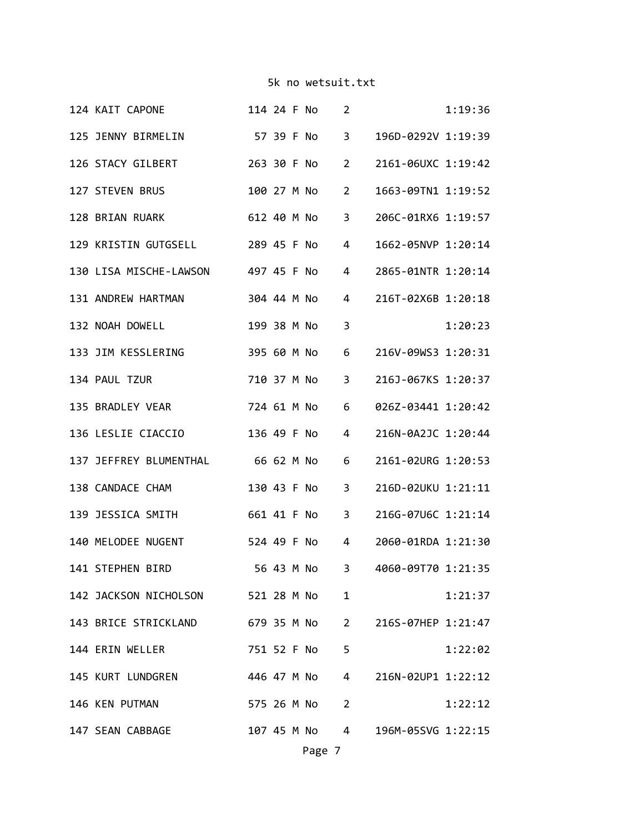| 124 KAIT CAPONE                                       |  | 114 24 F No | $\overline{2}$          |                    | 1:19:36 |
|-------------------------------------------------------|--|-------------|-------------------------|--------------------|---------|
| 125 JENNY BIRMELIN 57 39 F No                         |  |             | $\overline{3}$          | 196D-0292V 1:19:39 |         |
| 126 STACY GILBERT                                     |  | 263 30 F No | $\overline{2}$          | 2161-06UXC 1:19:42 |         |
| 127 STEVEN BRUS                                       |  | 100 27 M No | $\overline{2}$          | 1663-09TN1 1:19:52 |         |
| 612 40 M No<br>128 BRIAN RUARK                        |  |             | $\overline{\mathbf{3}}$ | 206C-01RX6 1:19:57 |         |
|                                                       |  |             | $\overline{4}$          | 1662-05NVP 1:20:14 |         |
| 130 LISA MISCHE-LAWSON 497 45 F No                    |  |             | $\overline{4}$          | 2865-01NTR 1:20:14 |         |
| 131 ANDREW HARTMAN                                    |  | 304 44 M No | $\overline{4}$          | 216T-02X6B 1:20:18 |         |
| 132 NOAH DOWELL                                       |  | 199 38 M No | 3                       |                    | 1:20:23 |
| 133 JIM KESSLERING                                    |  | 395 60 M No | 6                       | 216V-09WS3 1:20:31 |         |
| 134 PAUL TZUR                                         |  | 710 37 M No | $\overline{3}$          | 216J-067KS 1:20:37 |         |
| 135 BRADLEY VEAR                                      |  | 724 61 M No | 6                       | 026Z-03441 1:20:42 |         |
| 136 LESLIE CIACCIO                                    |  | 136 49 F No | 4                       | 216N-0A2JC 1:20:44 |         |
| 137 JEFFREY BLUMENTHAL 66 62 M No 6                   |  |             |                         | 2161-02URG 1:20:53 |         |
| 138 CANDACE CHAM                                      |  | 130 43 F No | $\overline{3}$          | 216D-02UKU 1:21:11 |         |
| 139 JESSICA SMITH                                     |  | 661 41 F No | $\overline{3}$          | 216G-07U6C 1:21:14 |         |
| 140 MELODEE NUGENT 524 49 F No                        |  |             | $\overline{4}$          | 2060-01RDA 1:21:30 |         |
| 141 STEPHEN BIRD 56 43 M No 3 4060-09T70 1:21:35      |  |             |                         |                    |         |
| 142 JACKSON NICHOLSON 521 28 M No 1                   |  |             |                         |                    | 1:21:37 |
| 143 BRICE STRICKLAND 679 35 M No 2 216S-07HEP 1:21:47 |  |             |                         |                    |         |
| 144 ERIN WELLER 751 52 F No 5                         |  |             |                         |                    | 1:22:02 |
| 145 KURT LUNDGREN 446 47 M No 4 216N-02UP1 1:22:12    |  |             |                         |                    |         |
| 146 KEN PUTMAN 575 26 M No 2                          |  |             |                         |                    | 1:22:12 |
| 147 SEAN CABBAGE 107 45 M No 4 196M-05SVG 1:22:15     |  |             |                         |                    |         |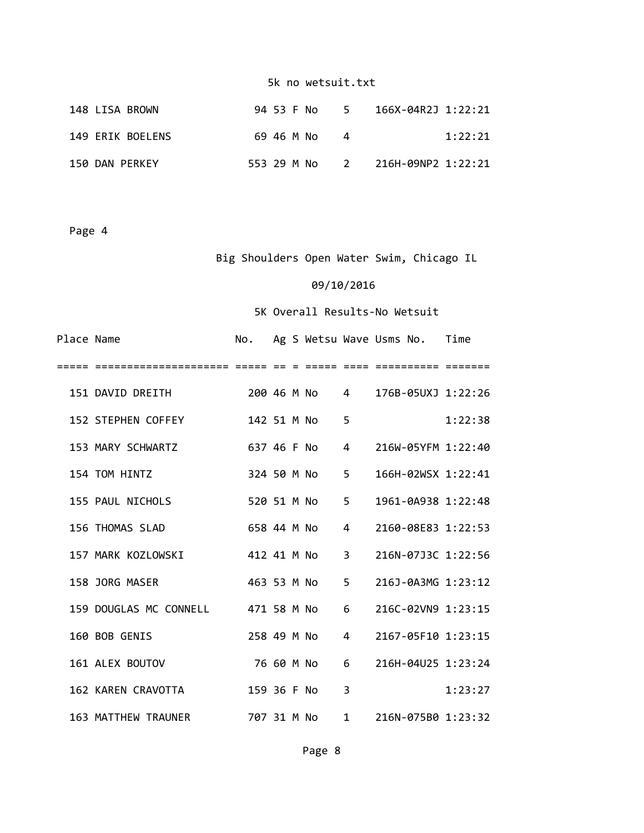| 148 LISA BROWN   | 94 53 F No  | $-5$ | 166X-04R2J 1:22:21 |
|------------------|-------------|------|--------------------|
| 149 ERIK BOELENS | 69 46 M No  |      | 1:22:21            |
| 150 DAN PERKEY   | 553 29 M No |      |                    |

Page 4

# Big Shoulders Open Water Swim, Chicago IL

#### 09/10/2016

| Place Name |                                    |             |  |             |                | No. Ag S Wetsu Wave Usms No. Time      |         |
|------------|------------------------------------|-------------|--|-------------|----------------|----------------------------------------|---------|
|            |                                    |             |  |             |                |                                        |         |
|            | 151 DAVID DREITH                   |             |  |             |                |                                        |         |
|            | 152 STEPHEN COFFEY                 | 142 51 M No |  |             | 5              |                                        | 1:22:38 |
|            | 153 MARY SCHWARTZ                  |             |  | 637 46 F No | $\overline{4}$ | 216W-05YFM 1:22:40                     |         |
|            | 154 TOM HINTZ                      |             |  | 324 50 M No | $5 -$          | 166H-02WSX 1:22:41                     |         |
|            | 155 PAUL NICHOLS                   |             |  | 520 51 M No | 5              | 1961-0A938 1:22:48                     |         |
|            | 156 THOMAS SLAD                    | 658 44 M No |  |             | 4              | 2160-08E83 1:22:53                     |         |
|            | 157 MARK KOZLOWSKI                 | 412 41 M No |  |             | 3              | 216N-07J3C 1:22:56                     |         |
|            | 158 JORG MASER                     |             |  | 463 53 M No | 5              | 216J-0A3MG 1:23:12                     |         |
|            | 159 DOUGLAS MC CONNELL 471 58 M No |             |  |             | 6              | 216C-02VN9 1:23:15                     |         |
|            | 160 BOB GENIS                      |             |  | 258 49 M No | 4              | 2167-05F10 1:23:15                     |         |
|            | 161 ALEX BOUTOV                    |             |  | 76 60 M No  | 6              | 216H-04U25 1:23:24                     |         |
|            | 162 KAREN CRAVOTTA                 | 159 36 F No |  |             | 3              |                                        | 1:23:27 |
|            | 163 MATTHEW TRAUNER 707 31 M No    |             |  |             |                | $1 \qquad 216N - 075B0 \qquad 1:23:32$ |         |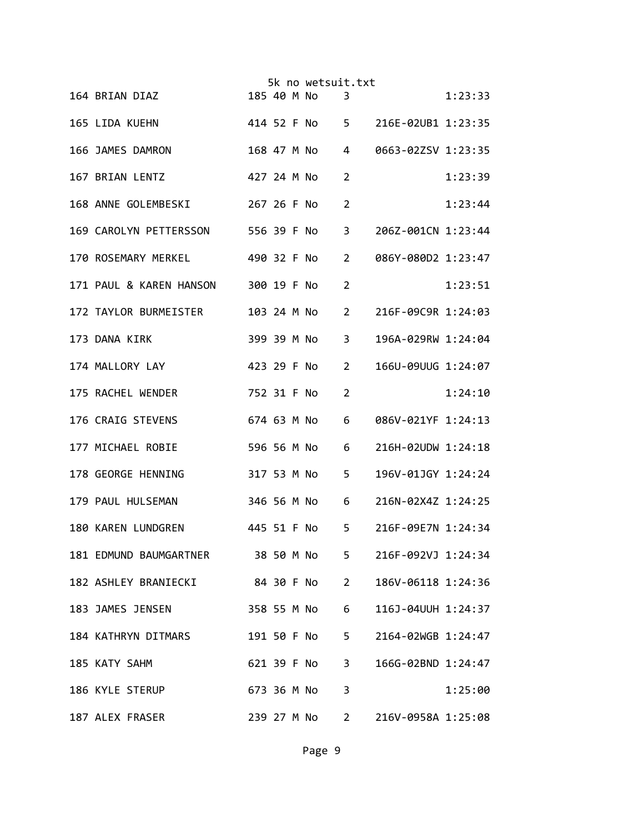|                                     |             |  | 5k no wetsuit.txt |                |                                  |         |
|-------------------------------------|-------------|--|-------------------|----------------|----------------------------------|---------|
| 164 BRIAN DIAZ                      | 185 40 M No |  |                   | 3              |                                  | 1:23:33 |
| 165 LIDA KUEHN                      |             |  |                   |                | 414 52 F No 5 216E-02UB1 1:23:35 |         |
| 166 JAMES DAMRON                    |             |  | 168 47 M No       | 4              | 0663-02ZSV 1:23:35               |         |
| 167 BRIAN LENTZ                     | 427 24 M No |  |                   | 2              |                                  | 1:23:39 |
| 168 ANNE GOLEMBESKI                 | 267 26 F No |  |                   | $\overline{2}$ |                                  | 1:23:44 |
| 169 CAROLYN PETTERSSON 556 39 F No  |             |  |                   | 3              | 206Z-001CN 1:23:44               |         |
| 490 32 F No<br>170 ROSEMARY MERKEL  |             |  |                   | 2              | 086Y-080D2 1:23:47               |         |
| 171 PAUL & KAREN HANSON 300 19 F No |             |  |                   | $\overline{2}$ |                                  | 1:23:51 |
| 172 TAYLOR BURMEISTER               |             |  | 103 24 M No 2     |                | 216F-09C9R 1:24:03               |         |
| 173 DANA KIRK                       |             |  | 399 39 M No       | $\overline{3}$ | 196A-029RW 1:24:04               |         |
| 174 MALLORY LAY                     |             |  | 423 29 F No       | $\overline{2}$ | 166U-09UUG 1:24:07               |         |
| 175 RACHEL WENDER                   | 752 31 F No |  |                   | 2              |                                  | 1:24:10 |
| 674 63 M No<br>176 CRAIG STEVENS    |             |  |                   | 6              | 086V-021YF 1:24:13               |         |
| 177 MICHAEL ROBIE                   |             |  | 596 56 M No       | 6              | 216H-02UDW 1:24:18               |         |
| 178 GEORGE HENNING                  |             |  | 317 53 M No       | 5              | 196V-01JGY 1:24:24               |         |
| 179 PAUL HULSEMAN                   |             |  | 346 56 M No 6     |                | 216N-02X4Z 1:24:25               |         |
| 180 KAREN LUNDGREN                  |             |  | 445 51 F No       | 5              | 216F-09E7N 1:24:34               |         |
| 181 EDMUND BAUMGARTNER 38 50 M No 5 |             |  |                   |                | 216F-092VJ 1:24:34               |         |
| 182 ASHLEY BRANIECKI 84 30 F No 2   |             |  |                   |                | 186V-06118 1:24:36               |         |
| 183 JAMES JENSEN                    |             |  | 358 55 M No 6     |                | 116J-04UUH 1:24:37               |         |
| 184 KATHRYN DITMARS                 |             |  | 191 50 F No       | $5 -$          | 2164-02WGB 1:24:47               |         |
| 185 KATY SAHM                       |             |  | 621 39 F No       | $3^{\circ}$    | 166G-02BND 1:24:47               |         |
| 186 KYLE STERUP NASA ATA            |             |  | 673 36 M No       | 3              |                                  | 1:25:00 |
| 187 ALEX FRASER                     |             |  | 239 27 M No       | $2 \quad$      | 216V-0958A 1:25:08               |         |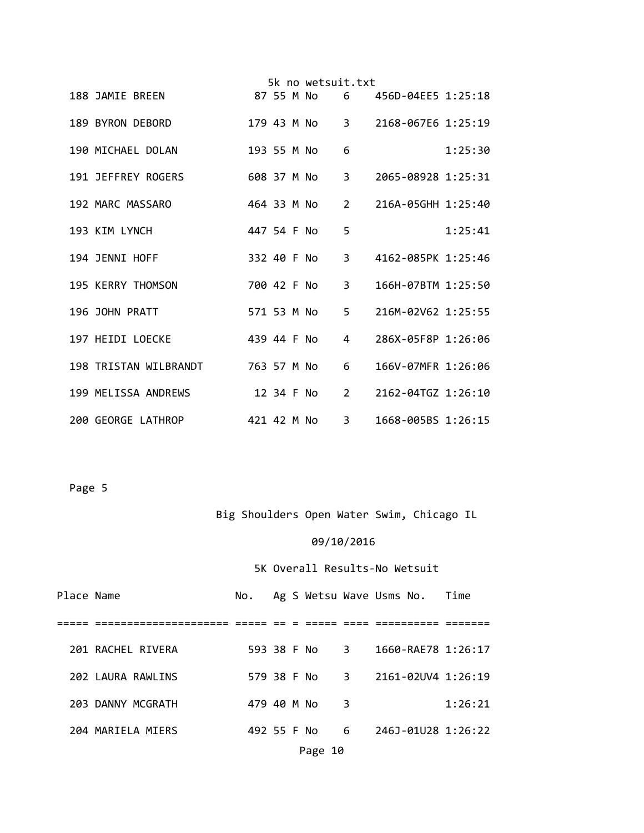|  |                                                     |             |  | 5k no wetsuit.txt |                |                      |         |
|--|-----------------------------------------------------|-------------|--|-------------------|----------------|----------------------|---------|
|  | 188 JAMIE BREEN                                     |             |  | 87 55 M No        |                | 6 456D-04EE5 1:25:18 |         |
|  | 189 BYRON DEBORD                                    |             |  |                   |                | 3 2168-067E6 1:25:19 |         |
|  | 190 MICHAEL DOLAN                                   |             |  | 193 55 M No       | 6              |                      | 1:25:30 |
|  | 191 JEFFREY ROGERS                                  |             |  | 608 37 M No       |                | 3 2065-08928 1:25:31 |         |
|  | 192 MARC MASSARO                                    |             |  | 464 33 M No       |                | 2 216A-05GHH 1:25:40 |         |
|  | 193 KIM LYNCH                                       | 447 54 F No |  |                   | 5              |                      | 1:25:41 |
|  | 194 JENNI HOFF                                      |             |  | 332 40 F No       |                | 3 4162-085PK 1:25:46 |         |
|  | 195 KERRY THOMSON                                   |             |  | 700 42 F No       | $\overline{3}$ | 166H-07BTM 1:25:50   |         |
|  | 196 JOHN PRATT                                      |             |  | 571 53 M No       | 5 <sup>7</sup> | 216M-02V62 1:25:55   |         |
|  | 197 HEIDI LOECKE                                    | 439 44 F No |  |                   | $\overline{4}$ | 286X-05F8P 1:26:06   |         |
|  | 198 TRISTAN WILBRANDT           763 57 M No         |             |  |                   | 6              | 166V-07MFR 1:26:06   |         |
|  | 199 MELISSA ANDREWS                                 |             |  | 12 34 F No        |                | 2 2162-04TGZ 1:26:10 |         |
|  | 200 GEORGE LATHROP 421 42 M No 3 1668-005BS 1:26:15 |             |  |                   |                |                      |         |

# Big Shoulders Open Water Swim, Chicago IL

# 09/10/2016

| Place Name |                   |             |  |               |   | No. Ag S Wetsu Wave Usms No. Time |         |
|------------|-------------------|-------------|--|---------------|---|-----------------------------------|---------|
|            |                   |             |  |               |   |                                   |         |
|            | 201 RACHEL RIVERA |             |  | 593 38 F No 3 |   | 1660-RAE78 1:26:17                |         |
|            | 202 LAURA RAWLINS |             |  |               |   | 579 38 F No 3 2161-02UV4 1:26:19  |         |
|            | 203 DANNY MCGRATH | 479 40 M No |  |               | 3 |                                   | 1:26:21 |
|            | 204 MARIELA MIERS |             |  | 492 55 F No 6 |   | 246J-01U28 1:26:22                |         |
|            |                   |             |  | Page 10       |   |                                   |         |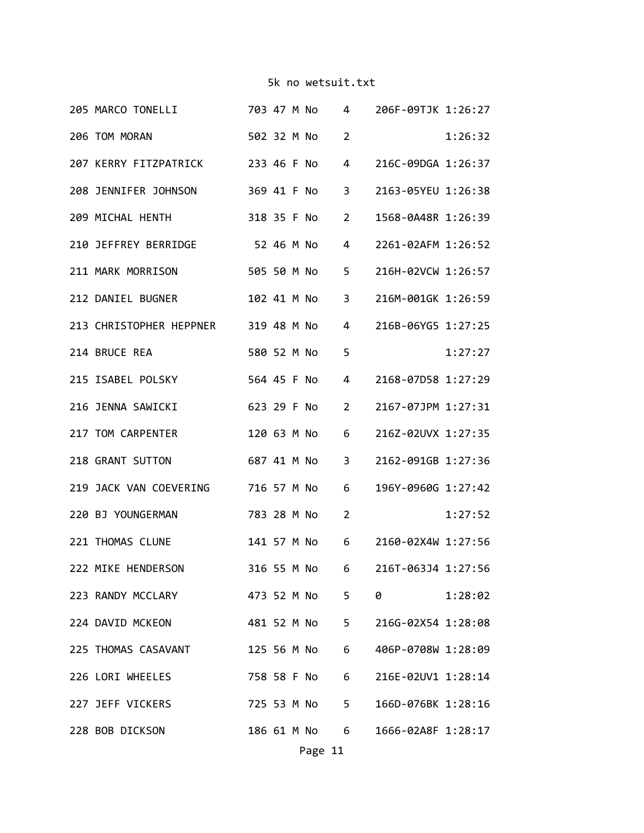|  | 205 MARCO TONELLI 703 47 M No             |             |  |               |                | 4 206F-09TJK 1:26:27             |         |
|--|-------------------------------------------|-------------|--|---------------|----------------|----------------------------------|---------|
|  | 206 TOM MORAN                             |             |  | 502 32 M No   | $\overline{2}$ |                                  | 1:26:32 |
|  | 207 KERRY FITZPATRICK 233 46 F No         |             |  |               | 4              | 216C-09DGA 1:26:37               |         |
|  | 208 JENNIFER JOHNSON 369 41 F No          |             |  |               | 3              | 2163-05YEU 1:26:38               |         |
|  | 209 MICHAL HENTH                          | 318 35 F No |  |               | $\overline{2}$ | 1568-0A48R 1:26:39               |         |
|  | 210 JEFFREY BERRIDGE 52 46 M No           |             |  |               | 4              | 2261-02AFM 1:26:52               |         |
|  | 211 MARK MORRISON 505 50 M No             |             |  |               | $5 -$          | 216H-02VCW 1:26:57               |         |
|  | 212 DANIEL BUGNER 102 41 M No             |             |  |               | $\overline{3}$ | 216M-001GK 1:26:59               |         |
|  | 213 CHRISTOPHER HEPPNER 319 48 M No       |             |  |               | $\overline{4}$ | 216B-06YG5 1:27:25               |         |
|  | 214 BRUCE REA                             | 580 52 M No |  |               | 5              |                                  | 1:27:27 |
|  | 215 ISABEL POLSKY                         | 564 45 F No |  |               | 4              | 2168-07D58 1:27:29               |         |
|  | 216 JENNA SAWICKI                         | 623 29 F No |  |               | $\overline{2}$ | 2167-07JPM 1:27:31               |         |
|  | 217 TOM CARPENTER                         | 120 63 M No |  |               | 6              | 216Z-02UVX 1:27:35               |         |
|  | 687 41 M No<br>218 GRANT SUTTON           |             |  |               | 3              | 2162-091GB 1:27:36               |         |
|  | 219 JACK VAN COEVERING 716 57 M No        |             |  |               | 6              | 196Y-0960G 1:27:42               |         |
|  | 220 BJ YOUNGERMAN                         |             |  | 783 28 M No   | $\overline{2}$ |                                  | 1:27:52 |
|  | 221 THOMAS CLUNE                          |             |  | 141 57 M No   | $6 \quad$      | 2160-02X4W 1:27:56               |         |
|  | 222 MIKE HENDERSON                        |             |  |               |                | 316 55 M No 6 216T-063J4 1:27:56 |         |
|  | 223 RANDY MCCLARY 473 52 M No 5 0 1:28:02 |             |  |               |                |                                  |         |
|  | 224 DAVID MCKEON                          |             |  | 481 52 M No 5 |                | 216G-02X54 1:28:08               |         |
|  | 225 THOMAS CASAVANT                       |             |  | 125 56 M No   | 6              | 406P-0708W 1:28:09               |         |
|  | 226 LORI WHEELES                          |             |  | 758 58 F No   | $6 \quad$      | 216E-02UV1 1:28:14               |         |
|  | 227 JEFF VICKERS                          |             |  | 725 53 M No 5 |                | 166D-076BK 1:28:16               |         |
|  | 228 BOB DICKSON                           |             |  |               |                | 186 61 M No 6 1666-02A8F 1:28:17 |         |
|  |                                           |             |  |               |                |                                  |         |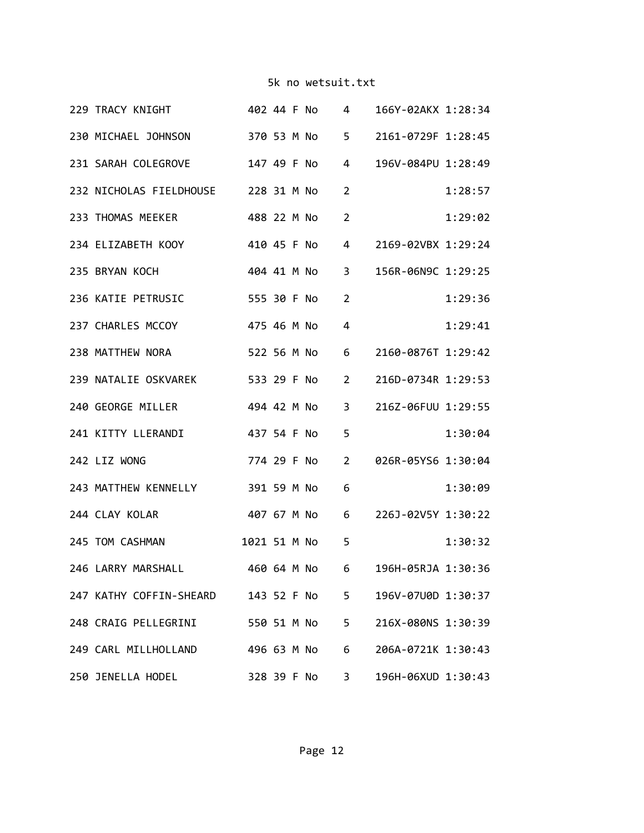| 229 TRACY KNIGHT 402 44 F No 4                      |  |               |                | 166Y-02AKX 1:28:34   |         |
|-----------------------------------------------------|--|---------------|----------------|----------------------|---------|
| 230 MICHAEL JOHNSON 370 53 M No 5                   |  |               |                | 2161-0729F 1:28:45   |         |
| 231 SARAH COLEGROVE 147 49 F No 4                   |  |               |                | 196V-084PU 1:28:49   |         |
| 232 NICHOLAS FIELDHOUSE 228 31 M No                 |  |               | 2              |                      | 1:28:57 |
| 233 THOMAS MEEKER 488 22 M No                       |  |               | $\overline{2}$ |                      | 1:29:02 |
| 234 ELIZABETH KOOY 410 45 F No 4 2169-02VBX 1:29:24 |  |               |                |                      |         |
| 404 41 M No 3<br>235 BRYAN KOCH                     |  |               |                | 156R-06N9C 1:29:25   |         |
| 236 KATIE PETRUSIC 555 30 F No 2                    |  |               |                |                      | 1:29:36 |
| 237 CHARLES MCCOY                                   |  |               | $\overline{4}$ |                      | 1:29:41 |
| 238 MATTHEW NORA 522 56 M No 6                      |  |               |                | 2160-0876T 1:29:42   |         |
| 239 NATALIE OSKVAREK 533 29 F No                    |  |               | $\overline{2}$ | 216D-0734R 1:29:53   |         |
| 240 GEORGE MILLER 494 42 M No                       |  |               |                | 3 216Z-06FUU 1:29:55 |         |
| 241 KITTY LLERANDI 437 54 F No                      |  |               | 5              |                      | 1:30:04 |
| 242 LIZ WONG                                        |  | 774 29 F No 2 |                | 026R-05YS6 1:30:04   |         |
| 243 MATTHEW KENNELLY 391 59 M No 6                  |  |               |                |                      | 1:30:09 |
| 244 CLAY KOLAR 407 67 M No 6 226J-02V5Y 1:30:22     |  |               |                |                      |         |
| 245 TOM CASHMAN 1021 51 M No 5                      |  |               |                |                      | 1:30:32 |
| 246 LARRY MARSHALL 460 64 M No 6 196H-05RJA 1:30:36 |  |               |                |                      |         |
| 247 KATHY COFFIN-SHEARD 143 52 F No 5               |  |               |                | 196V-07U0D 1:30:37   |         |
| 248 CRAIG PELLEGRINI 550 51 M No 5                  |  |               |                | 216X-080NS 1:30:39   |         |
| 249 CARL MILLHOLLAND 496 63 M No 6                  |  |               |                | 206A-0721K 1:30:43   |         |
| 250 JENELLA HODEL 328 39 F No 3                     |  |               |                | 196H-06XUD 1:30:43   |         |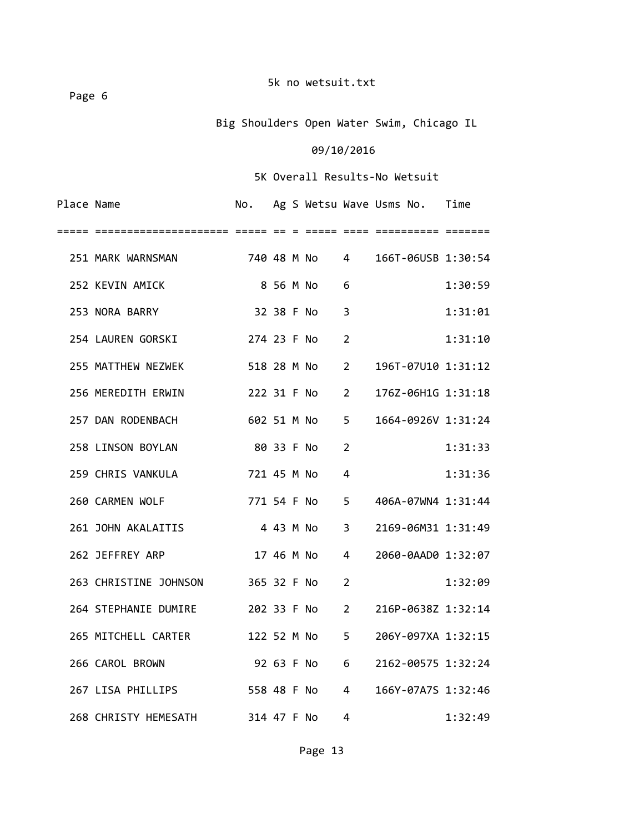Page 6

# Big Shoulders Open Water Swim, Chicago IL

# 09/10/2016

| Place Name |                                    |               |            |               |                         | No. Ag S Wetsu Wave Usms No. Time |         |
|------------|------------------------------------|---------------|------------|---------------|-------------------------|-----------------------------------|---------|
| =====      |                                    |               |            |               |                         |                                   |         |
|            | 251 MARK WARNSMAN 740 48 M No 4    |               |            |               |                         | 166T-06USB 1:30:54                |         |
|            | 252 KEVIN AMICK                    |               | 8 56 M No  | $6^{\circ}$   |                         |                                   | 1:30:59 |
|            | 253 NORA BARRY                     |               | 32 38 F No |               | 3                       |                                   | 1:31:01 |
|            | 254 LAUREN GORSKI                  | 274 23 F No   |            |               | $\overline{2}$          |                                   | 1:31:10 |
|            | 255 MATTHEW NEZWEK                 |               |            | 518 28 M No 2 |                         | 196T-07U10 1:31:12                |         |
|            | 256 MEREDITH ERWIN                 | 222 31 F No 2 |            |               |                         | 176Z-06H1G 1:31:18                |         |
|            | 257 DAN RODENBACH                  | 602 51 M No 5 |            |               |                         | 1664-0926V 1:31:24                |         |
|            | 258 LINSON BOYLAN                  |               |            | 80 33 F No    | 2                       |                                   | 1:31:33 |
|            | 259 CHRIS VANKULA                  | 721 45 M No   |            |               | 4                       |                                   | 1:31:36 |
|            | 260 CARMEN WOLF                    | 771 54 F No   |            |               | 5                       | 406A-07WN4 1:31:44                |         |
|            | 261 JOHN AKALAITIS                 |               |            |               | $\overline{\mathbf{3}}$ | 2169-06M31 1:31:49                |         |
|            | 262 JEFFREY ARP                    |               |            | 17 46 M No    | 4                       | 2060-0AAD0 1:32:07                |         |
|            | 263 CHRISTINE JOHNSON 365 32 F No  |               |            |               | $\overline{2}$          |                                   | 1:32:09 |
|            | 264 STEPHANIE DUMIRE 202 33 F No 2 |               |            |               |                         | 216P-0638Z 1:32:14                |         |
|            | 265 MITCHELL CARTER                | 122 52 M No 5 |            |               |                         | 206Y-097XA 1:32:15                |         |
|            | 266 CAROL BROWN                    |               |            | 92 63 F No 6  |                         | 2162-00575 1:32:24                |         |
|            | 267 LISA PHILLIPS                  |               |            | 558 48 F No 4 |                         | 166Y-07A7S 1:32:46                |         |
|            | 268 CHRISTY HEMESATH 314 47 F No   |               |            |               | 4                       |                                   | 1:32:49 |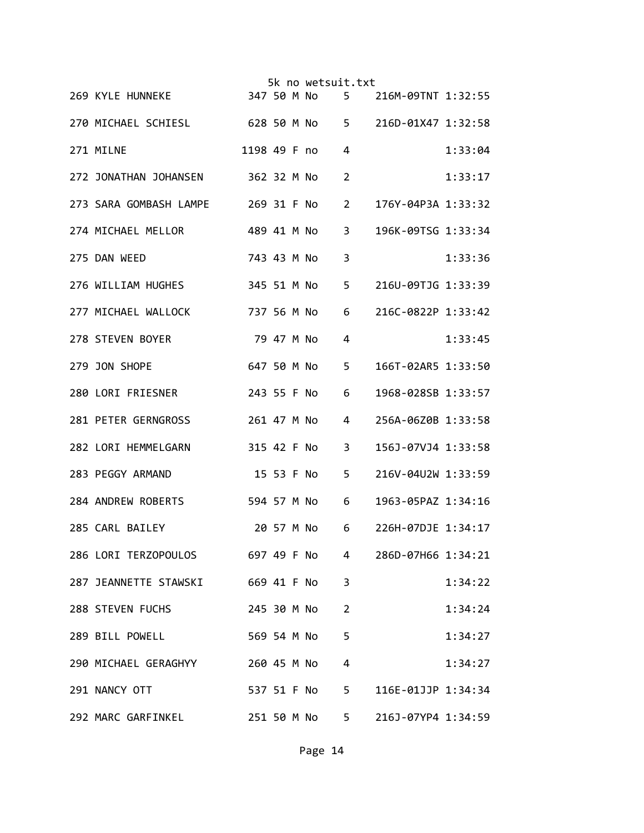|                                                      |             |  | 5k no wetsuit.txt |                |                                  |         |
|------------------------------------------------------|-------------|--|-------------------|----------------|----------------------------------|---------|
| 269 KYLE HUNNEKE                                     |             |  |                   |                | 347 50 M No 5 216M-09TNT 1:32:55 |         |
| 270 MICHAEL SCHIESL 628 50 M No 5 216D-01X47 1:32:58 |             |  |                   |                |                                  |         |
| 271 MILNE                                            |             |  | 1198 49 F no      | 4              |                                  | 1:33:04 |
| 272 JONATHAN JOHANSEN                                | 362 32 M No |  |                   | 2              |                                  | 1:33:17 |
| 273 SARA GOMBASH LAMPE 269 31 F No                   |             |  |                   | $\overline{2}$ | 176Y-04P3A 1:33:32               |         |
| 274 MICHAEL MELLOR                                   |             |  | 489 41 M No       | 3              | 196K-09TSG 1:33:34               |         |
| 275 DAN WEED                                         |             |  |                   | 3              |                                  | 1:33:36 |
| 276 WILLIAM HUGHES                                   |             |  | 345 51 M No       | 5              | 216U-09TJG 1:33:39               |         |
| 277 MICHAEL WALLOCK 737 56 M No                      |             |  |                   | 6              | 216C-0822P 1:33:42               |         |
| 278 STEVEN BOYER                                     | 79 47 M No  |  |                   | 4              |                                  | 1:33:45 |
| 279 JON SHOPE                                        | 647 50 M No |  |                   | 5              | 166T-02AR5 1:33:50               |         |
| 280 LORI FRIESNER                                    | 243 55 F No |  |                   | 6              | 1968-028SB 1:33:57               |         |
| 281 PETER GERNGROSS                                  |             |  | 261 47 M No       | 4              | 256A-06Z0B 1:33:58               |         |
| 282 LORI HEMMELGARN                                  | 315 42 F No |  |                   | 3              | 156J-07VJ4 1:33:58               |         |
| 283 PEGGY ARMAND                                     |             |  |                   | 5              | 216V-04U2W 1:33:59               |         |
| 284 ANDREW ROBERTS<br>594 57 M No 6                  |             |  |                   |                | 1963-05PAZ 1:34:16               |         |
| 285 CARL BAILEY                                      |             |  | 20 57 M No        | 6              | 226H-07DJE 1:34:17               |         |
| 286 LORI TERZOPOULOS 697 49 F No 4                   |             |  |                   |                | 286D-07H66 1:34:21               |         |
| 287 JEANNETTE STAWSKI 669 41 F No                    |             |  |                   | 3              |                                  | 1:34:22 |
| 288 STEVEN FUCHS 245 30 M No 2                       |             |  |                   |                |                                  | 1:34:24 |
| 289 BILL POWELL                                      |             |  | 569 54 M No 5     |                |                                  | 1:34:27 |
| 290 MICHAEL GERAGHYY 260 45 M No                     |             |  |                   | 4              |                                  | 1:34:27 |
| 291 NANCY OTT                                        |             |  | 537 51 F No 5     |                | 116E-01JJP 1:34:34               |         |
| 292 MARC GARFINKEL                                   |             |  | 251 50 M No 5     |                | 216J-07YP4 1:34:59               |         |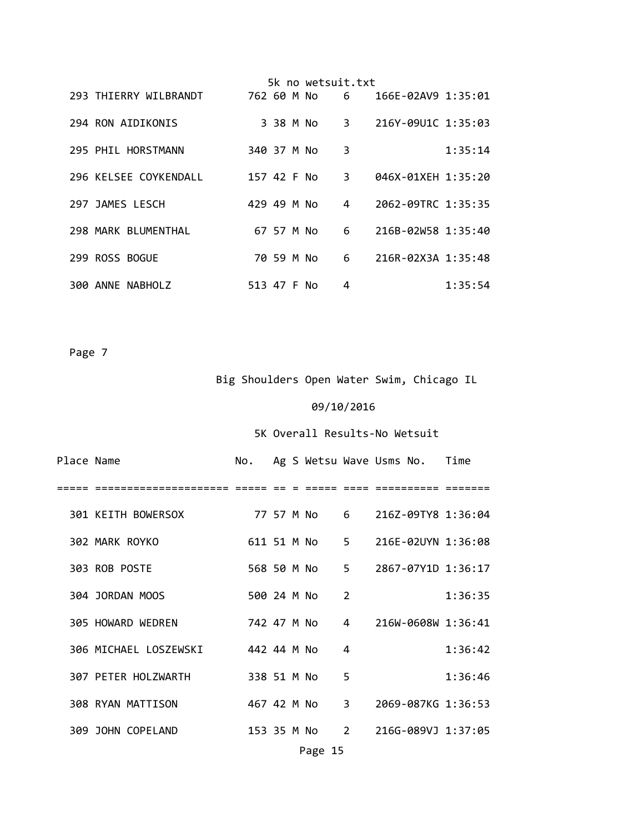|  |                       |             |            | 5k no wetsuit.txt |                |                                        |         |
|--|-----------------------|-------------|------------|-------------------|----------------|----------------------------------------|---------|
|  | 293 THIERRY WILBRANDT |             |            | 762 60 M No       |                | $6 \qquad 166E - 02AV9 \qquad 1:35:01$ |         |
|  | 294 RON AIDIKONIS     |             | 3 38 M No  |                   |                | 3 216Y-09U1C 1:35:03                   |         |
|  | 295 PHIL HORSTMANN    | 340 37 M No |            |                   | 3              |                                        | 1:35:14 |
|  | 296 KELSEE COYKENDALL | 157 42 F No |            |                   | $\overline{3}$ | 046X-01XEH 1:35:20                     |         |
|  | 297 JAMES LESCH       | 429 49 M No |            |                   | 4              | 2062-09TRC 1:35:35                     |         |
|  | 298 MARK BLUMENTHAL   |             | 67 57 M No |                   | 6              | 216B-02W58 1:35:40                     |         |
|  | 299 ROSS BOGUE        |             | 70 59 M No |                   | 6              | 216R-02X3A 1:35:48                     |         |
|  | 300 ANNE NABHOLZ      | 513 47 F No |            |                   | 4              |                                        | 1:35:54 |

Big Shoulders Open Water Swim, Chicago IL

## 09/10/2016

| Place Name |                       |             |  |               |                | No. Ag S Wetsu Wave Usms No. Time |         |
|------------|-----------------------|-------------|--|---------------|----------------|-----------------------------------|---------|
|            |                       |             |  |               |                |                                   |         |
|            | 301 KEITH BOWERSOX    |             |  |               |                | 77 57 M No 6 216Z-09TY8 1:36:04   |         |
|            | 302 MARK ROYKO        |             |  | 611 51 M No 5 |                | 216E-02UYN 1:36:08                |         |
|            | 303 ROB POSTE         |             |  |               |                | 568 50 M No 5 2867-07Y1D 1:36:17  |         |
|            | 304 JORDAN MOOS       | 500 24 M No |  |               | $\overline{2}$ |                                   | 1:36:35 |
|            | 305 HOWARD WEDREN     |             |  | 742 47 M No   | $\overline{4}$ | 216W-0608W 1:36:41                |         |
|            | 306 MICHAEL LOSZEWSKI | 442 44 M No |  |               | 4              |                                   | 1:36:42 |
|            | 307 PETER HOLZWARTH   | 338 51 M No |  |               | 5              |                                   | 1:36:46 |
|            | 308 RYAN MATTISON     |             |  | 467 42 M No   | $3^{\circ}$    | 2069-087KG 1:36:53                |         |
|            | 309 JOHN COPELAND     |             |  |               |                | 153 35 M No 2 216G-089VJ 1:37:05  |         |
|            |                       |             |  | Page 15       |                |                                   |         |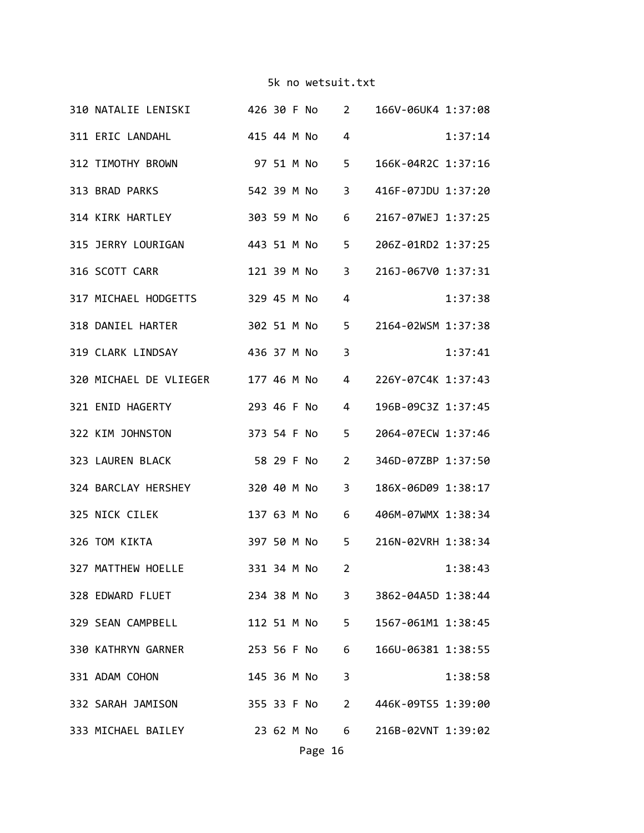| 310 NATALIE LENISKI 426 30 F No 2 166V-06UK4 1:37:08 |  |               |                         |                                                                                                                                                                                                                                                                                                                                    |         |
|------------------------------------------------------|--|---------------|-------------------------|------------------------------------------------------------------------------------------------------------------------------------------------------------------------------------------------------------------------------------------------------------------------------------------------------------------------------------|---------|
| 311 ERIC LANDAHL 415 44 M No                         |  |               | 4                       |                                                                                                                                                                                                                                                                                                                                    | 1:37:14 |
| 312 TIMOTHY BROWN<br>97 51 M No 5                    |  |               |                         | 166K-04R2C 1:37:16                                                                                                                                                                                                                                                                                                                 |         |
| 313 BRAD PARKS                                       |  | 542 39 M No   | $\mathbf{3}$            | 416F-07JDU 1:37:20                                                                                                                                                                                                                                                                                                                 |         |
| 314 KIRK HARTLEY                                     |  | 303 59 M No   | 6                       | 2167-07WEJ 1:37:25                                                                                                                                                                                                                                                                                                                 |         |
| 315 JERRY LOURIGAN 443 51 M No                       |  |               | 5                       | 206Z-01RD2 1:37:25                                                                                                                                                                                                                                                                                                                 |         |
| 316 SCOTT CARR                                       |  | 121 39 M No   | $\overline{\mathbf{3}}$ | 216J-067V0 1:37:31                                                                                                                                                                                                                                                                                                                 |         |
| 317 MICHAEL HODGETTS 329 45 M No                     |  |               | $\overline{4}$          |                                                                                                                                                                                                                                                                                                                                    | 1:37:38 |
| 318 DANIEL HARTER                                    |  | 302 51 M No   | 5                       | 2164-02WSM 1:37:38                                                                                                                                                                                                                                                                                                                 |         |
| 319 CLARK LINDSAY                                    |  | 436 37 M No   | 3                       |                                                                                                                                                                                                                                                                                                                                    | 1:37:41 |
| 320 MICHAEL DE VLIEGER 177 46 M No                   |  |               |                         | 4 226Y-07C4K 1:37:43                                                                                                                                                                                                                                                                                                               |         |
| 321 ENID HAGERTY                                     |  | 293 46 F No   | 4                       | 196B-09C3Z 1:37:45                                                                                                                                                                                                                                                                                                                 |         |
| 322 KIM JOHNSTON                                     |  | 373 54 F No   | 5                       | 2064-07ECW 1:37:46                                                                                                                                                                                                                                                                                                                 |         |
| 323 LAUREN BLACK 58 29 F No                          |  |               | $\overline{2}$          | 346D-07ZBP 1:37:50                                                                                                                                                                                                                                                                                                                 |         |
| 324 BARCLAY HERSHEY 320 40 M No 3                    |  |               |                         | 186X-06D09 1:38:17                                                                                                                                                                                                                                                                                                                 |         |
| 325 NICK CILEK                                       |  | 137 63 M No 6 |                         | 406M-07WMX 1:38:34                                                                                                                                                                                                                                                                                                                 |         |
| 326 TOM KIKTA                                        |  |               |                         | 397 50 M No 5 216N-02VRH 1:38:34                                                                                                                                                                                                                                                                                                   |         |
| 327 MATTHEW HOELLE 331 34 M No                       |  |               |                         | $\overline{2}$ and $\overline{2}$ and $\overline{2}$ and $\overline{2}$ and $\overline{2}$ and $\overline{2}$ and $\overline{2}$ and $\overline{2}$ and $\overline{2}$ and $\overline{2}$ and $\overline{2}$ and $\overline{2}$ and $\overline{2}$ and $\overline{2}$ and $\overline{2}$ and $\overline{2}$ and $\overline{2}$ and | 1:38:43 |
| 328 EDWARD FLUET 234 38 M No 3 3862-04A5D 1:38:44    |  |               |                         |                                                                                                                                                                                                                                                                                                                                    |         |
| 329 SEAN CAMPBELL                                    |  |               | 112 51 M No 5           | 1567-061M1 1:38:45                                                                                                                                                                                                                                                                                                                 |         |
| 330 KATHRYN GARNER                                   |  |               | 253 56 F No 6           | 166U-06381 1:38:55                                                                                                                                                                                                                                                                                                                 |         |
| 331 ADAM COHON                                       |  | 145 36 M No 3 |                         |                                                                                                                                                                                                                                                                                                                                    | 1:38:58 |
| 332 SARAH JAMISON                                    |  |               |                         | 355 33 F No 2 446K-09TS5 1:39:00                                                                                                                                                                                                                                                                                                   |         |
| 333 MICHAEL BAILEY 23 62 M No 6 216B-02VNT 1:39:02   |  |               |                         |                                                                                                                                                                                                                                                                                                                                    |         |
|                                                      |  | Page 16       |                         |                                                                                                                                                                                                                                                                                                                                    |         |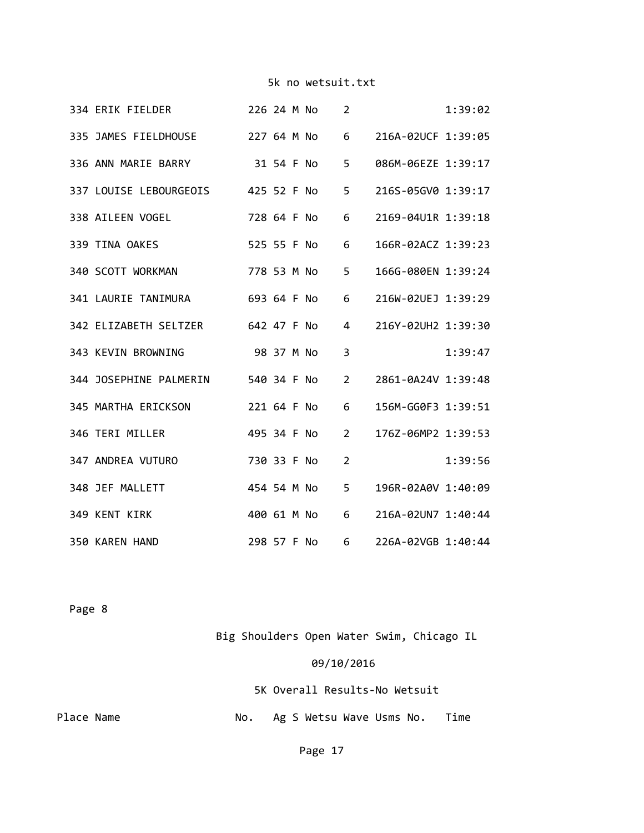|  | 334 ERIK FIELDER                   | 226 24 M No |  | 2              |                    | 1:39:02 |
|--|------------------------------------|-------------|--|----------------|--------------------|---------|
|  | 335 JAMES FIELDHOUSE 227 64 M No   |             |  | 6              | 216A-02UCF 1:39:05 |         |
|  | 336 ANN MARIE BARRY                | 31 54 F No  |  | 5              | 086M-06EZE 1:39:17 |         |
|  | 337 LOUISE LEBOURGEOIS 425 52 F No |             |  | 5              | 216S-05GV0 1:39:17 |         |
|  | 338 AILEEN VOGEL                   | 728 64 F No |  | 6              | 2169-04U1R 1:39:18 |         |
|  | 339 TINA OAKES                     | 525 55 F No |  | 6              | 166R-02ACZ 1:39:23 |         |
|  | 340 SCOTT WORKMAN                  | 778 53 M No |  | 5              | 166G-080EN 1:39:24 |         |
|  | 341 LAURIE TANIMURA<br>693 64 F No |             |  | 6              | 216W-02UEJ 1:39:29 |         |
|  | 342 ELIZABETH SELTZER 642 47 F No  |             |  | 4              | 216Y-02UH2 1:39:30 |         |
|  | 343 KEVIN BROWNING                 | 98 37 M No  |  | $\overline{3}$ |                    | 1:39:47 |
|  | 344 JOSEPHINE PALMERIN 540 34 F No |             |  | $\overline{2}$ | 2861-0A24V 1:39:48 |         |
|  | 345 MARTHA ERICKSON                | 221 64 F No |  | 6              | 156M-GG0F3 1:39:51 |         |
|  | 346 TERI MILLER                    | 495 34 F No |  | $\overline{2}$ | 176Z-06MP2 1:39:53 |         |
|  | 347 ANDREA VUTURO                  | 730 33 F No |  | $\overline{2}$ |                    | 1:39:56 |
|  | 348 JEF MALLETT                    | 454 54 M No |  | 5              | 196R-02A0V 1:40:09 |         |
|  | 349 KENT KIRK                      | 400 61 M No |  | 6              | 216A-02UN7 1:40:44 |         |
|  | 350 KAREN HAND                     | 298 57 F No |  | 6              | 226A-02VGB 1:40:44 |         |

Page 8

Big Shoulders Open Water Swim, Chicago IL

# 09/10/2016

5K Overall Results‐No Wetsuit

Place Name **Blace Name No.** Ag S Wetsu Wave Usms No. Time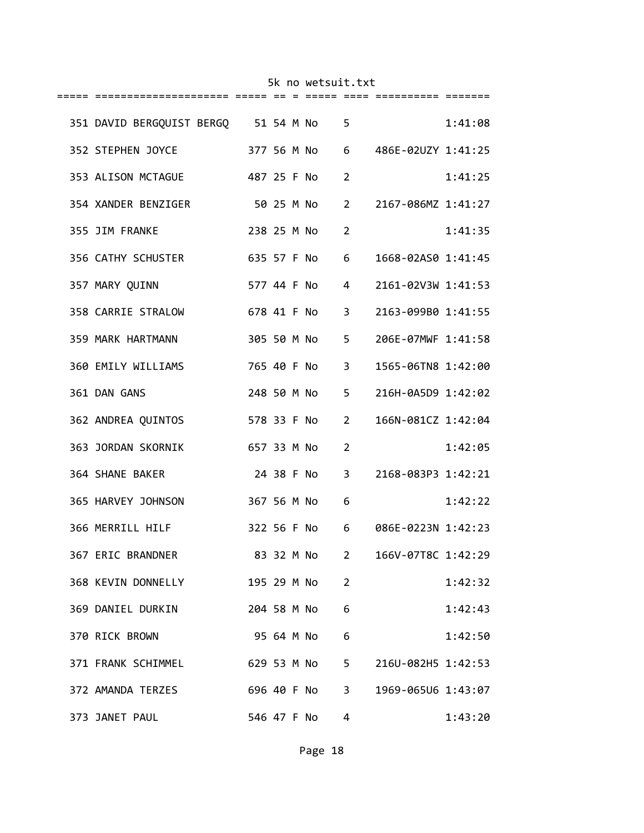| 351 DAVID BERGQUIST BERGQ 51 54 M No 5              |               |  |               |                |                                 | 1:41:08 |
|-----------------------------------------------------|---------------|--|---------------|----------------|---------------------------------|---------|
| 352 STEPHEN JOYCE 377 56 M No 6                     |               |  |               |                | 486E-02UZY 1:41:25              |         |
| 353 ALISON MCTAGUE 487 25 F No                      |               |  |               | $\overline{2}$ |                                 | 1:41:25 |
| 354 XANDER BENZIGER 50 25 M No 2                    |               |  |               |                | 2167-086MZ 1:41:27              |         |
| 355 JIM FRANKE                                      |               |  | 238 25 M No   | $\overline{2}$ |                                 | 1:41:35 |
| 356 CATHY SCHUSTER 635 57 F No                      |               |  |               | $6 \quad$      | 1668-02AS0 1:41:45              |         |
| 357 MARY QUINN                                      |               |  | 577 44 F No   | $4 \quad$      | 2161-02V3W 1:41:53              |         |
| 358 CARRIE STRALOW                                  | 678 41 F No   |  |               |                | 3 2163-099B0 1:41:55            |         |
| 359 MARK HARTMANN                                   |               |  | 305 50 M No 5 |                | 206E-07MWF 1:41:58              |         |
| 360 EMILY WILLIAMS                                  |               |  | 765 40 F No 3 |                | 1565-06TN8 1:42:00              |         |
| 361 DAN GANS                                        |               |  | 248 50 M No 5 |                | 216H-0A5D9 1:42:02              |         |
| 362 ANDREA QUINTOS 578 33 F No                      |               |  |               | $\overline{2}$ | 166N-081CZ 1:42:04              |         |
| 363 JORDAN SKORNIK 657 33 M No                      |               |  |               | $\overline{2}$ |                                 | 1:42:05 |
| 364 SHANE BAKER                                     |               |  | 24 38 F No    |                | 3 2168-083P3 1:42:21            |         |
| 365 HARVEY JOHNSON                                  |               |  | 367 56 M No   | 6              |                                 | 1:42:22 |
| 366 MERRILL HILF                                    | 322 56 F No 6 |  |               |                | 086E-0223N 1:42:23              |         |
| 367 ERIC BRANDNER                                   |               |  |               |                | 83 32 M No 2 166V-07T8C 1:42:29 |         |
| 368 KEVIN DONNELLY                                  |               |  | 195 29 M No   | $\overline{2}$ |                                 | 1:42:32 |
| 369 DANIEL DURKIN 204 58 M No                       |               |  |               | 6              |                                 | 1:42:43 |
| 370 RICK BROWN                                      |               |  | 95 64 M No    | 6              |                                 | 1:42:50 |
| 371 FRANK SCHIMMEL 629 53 M No 5 216U-082H5 1:42:53 |               |  |               |                |                                 |         |
| 372 AMANDA TERZES                                   |               |  | 696 40 F No 3 |                | 1969-065U6 1:43:07              |         |
| 373 JANET PAUL                                      |               |  | 546 47 F No   | 4              |                                 | 1:43:20 |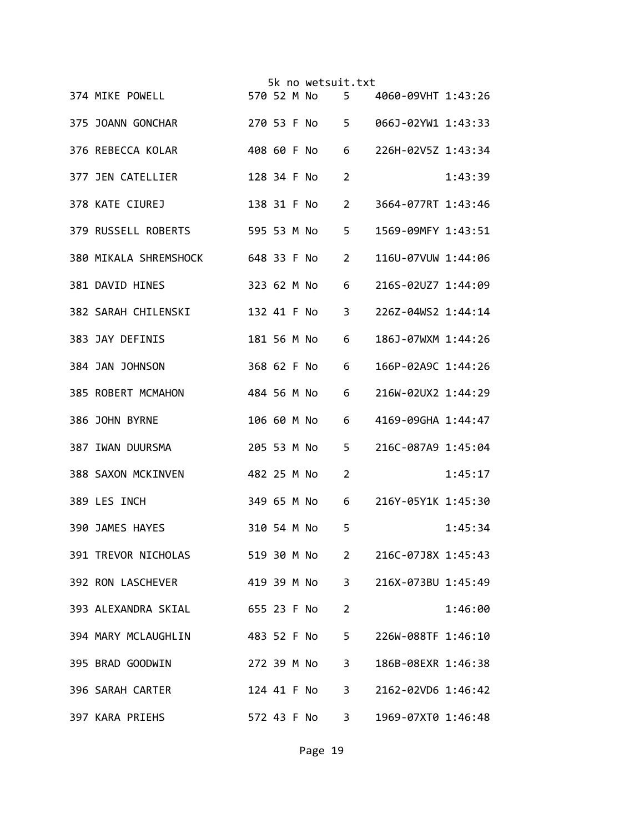|                                   |             |  | 5k no wetsuit.txt |                |                    |         |
|-----------------------------------|-------------|--|-------------------|----------------|--------------------|---------|
| 374 MIKE POWELL                   |             |  | 570 52 M No       | 5              | 4060-09VHT 1:43:26 |         |
| 375 JOANN GONCHAR                 |             |  | 270 53 F No 5     |                | 066J-02YW1 1:43:33 |         |
| 376 REBECCA KOLAR                 |             |  | 408 60 F No       | 6              | 226H-02V5Z 1:43:34 |         |
| 377 JEN CATELLIER                 | 128 34 F No |  |                   | 2              |                    | 1:43:39 |
| 378 KATE CIUREJ                   | 138 31 F No |  |                   | $\overline{2}$ | 3664-077RT 1:43:46 |         |
| 379 RUSSELL ROBERTS               |             |  | 595 53 M No       | 5              | 1569-09MFY 1:43:51 |         |
| 380 MIKALA SHREMSHOCK 648 33 F No |             |  |                   | $\overline{2}$ | 116U-07VUW 1:44:06 |         |
| 381 DAVID HINES                   |             |  | 323 62 M No       | 6              | 216S-02UZ7 1:44:09 |         |
| 382 SARAH CHILENSKI               |             |  | 132 41 F No       | 3              | 226Z-04WS2 1:44:14 |         |
| 383 JAY DEFINIS                   |             |  | 181 56 M No       | 6              | 186J-07WXM 1:44:26 |         |
| 384 JAN JOHNSON                   | 368 62 F No |  |                   | 6              | 166P-02A9C 1:44:26 |         |
| 385 ROBERT MCMAHON                | 484 56 M No |  |                   | 6              | 216W-02UX2 1:44:29 |         |
| 386 JOHN BYRNE                    |             |  | 106 60 M No       | 6              | 4169-09GHA 1:44:47 |         |
| 387 IWAN DUURSMA                  | 205 53 M No |  |                   | 5              | 216C-087A9 1:45:04 |         |
| 388 SAXON MCKINVEN                | 482 25 M No |  |                   | 2              |                    | 1:45:17 |
| 389 LES INCH                      |             |  | 349 65 M No       | 6              | 216Y-05Y1K 1:45:30 |         |
| 390 JAMES HAYES                   | 310 54 M No |  |                   | 5              |                    | 1:45:34 |
| 391 TREVOR NICHOLAS 519 30 M No 2 |             |  |                   |                | 216C-07J8X 1:45:43 |         |
| 392 RON LASCHEVER 419 39 M No 3   |             |  |                   |                | 216X-073BU 1:45:49 |         |
| 393 ALEXANDRA SKIAL 655 23 F No   |             |  |                   | $\overline{2}$ |                    | 1:46:00 |
| 394 MARY MCLAUGHLIN               |             |  | 483 52 F No       | 5              | 226W-088TF 1:46:10 |         |
| 395 BRAD GOODWIN                  |             |  | 272 39 M No       | 3              | 186B-08EXR 1:46:38 |         |
| 396 SARAH CARTER                  |             |  | 124 41 F No       | $3^{\circ}$    | 2162-02VD6 1:46:42 |         |
| 397 KARA PRIEHS                   |             |  | 572 43 F No       | $3^{\circ}$    | 1969-07XT0 1:46:48 |         |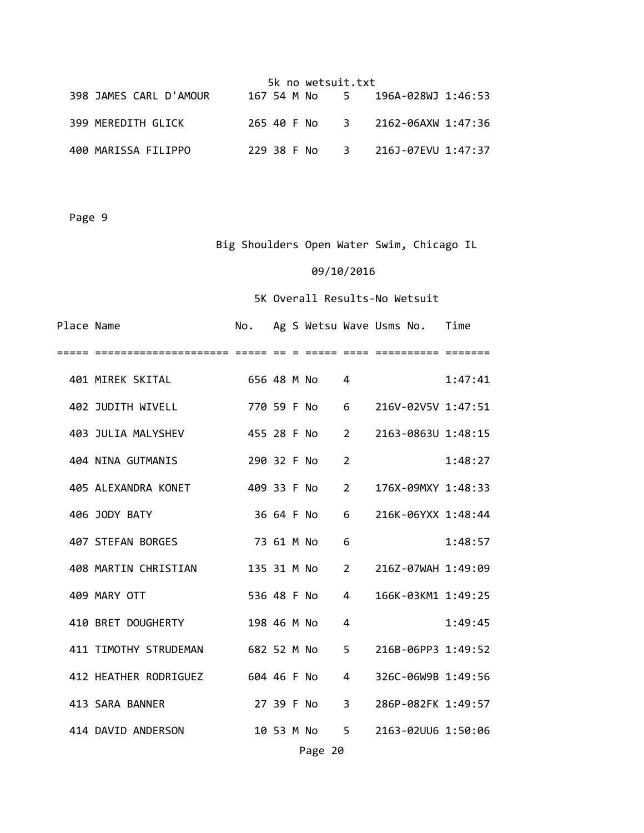|                        | 5k no wetsuit.txt |  |                                  |  |  |  |  |  |
|------------------------|-------------------|--|----------------------------------|--|--|--|--|--|
| 398 JAMES CARL D'AMOUR |                   |  | 167 54 M No 5 196A-028WJ 1:46:53 |  |  |  |  |  |
| 399 MEREDITH GLICK     |                   |  | 265 40 F No 3 2162-06AXW 1:47:36 |  |  |  |  |  |
| 400 MARISSA FILIPPO    |                   |  | 229 38 F No 3 216J-07EVU 1:47:37 |  |  |  |  |  |

# Big Shoulders Open Water Swim, Chicago IL

## 09/10/2016

| Place Name |                                  | No.         |            |                                          |                | Ag S Wetsu Wave Usms No. Time |         |
|------------|----------------------------------|-------------|------------|------------------------------------------|----------------|-------------------------------|---------|
|            |                                  |             |            |                                          |                |                               |         |
|            | 401 MIREK SKITAL                 | 656 48 M No |            |                                          | 4              |                               | 1:47:41 |
|            | 402 JUDITH WIVELL                | 770 59 F No |            |                                          | 6              | 216V-02V5V 1:47:51            |         |
|            | 403 JULIA MALYSHEV               | 455 28 F No |            | $\overline{\phantom{a}}$ 2               |                | 2163-0863U 1:48:15            |         |
|            | 404 NINA GUTMANIS                | 290 32 F No |            |                                          | 2              |                               | 1:48:27 |
|            | 405 ALEXANDRA KONET 409 33 F No  |             |            |                                          | $\overline{2}$ | 176X-09MXY 1:48:33            |         |
|            | 406 JODY BATY                    |             | 36 64 F No | $6^{\circ}$                              |                | 216K-06YXX 1:48:44            |         |
|            | 407 STEFAN BORGES                | 73 61 M No  |            |                                          | 6              |                               | 1:48:57 |
|            | 408 MARTIN CHRISTIAN 135 31 M No |             |            |                                          | $\overline{2}$ | 216Z-07WAH 1:49:09            |         |
|            | 409 MARY OTT                     | 536 48 F No |            |                                          | $\overline{4}$ | 166K-03KM1 1:49:25            |         |
|            | 410 BRET DOUGHERTY               | 198 46 M No |            |                                          | $\overline{4}$ |                               | 1:49:45 |
|            | 411 TIMOTHY STRUDEMAN            | 682 52 M No |            |                                          | 5              | 216B-06PP3 1:49:52            |         |
|            | 412 HEATHER RODRIGUEZ            | 604 46 F No |            |                                          | 4              | 326C-06W9B 1:49:56            |         |
|            | 413 SARA BANNER                  |             |            | 27 39 F No                               | $\overline{3}$ | 286P-082FK 1:49:57            |         |
|            | 414 DAVID ANDERSON               |             |            | 10 53 M No<br>$\overline{\phantom{0}}$ 5 |                | 2163-02UU6 1:50:06            |         |
|            |                                  |             |            | Page 20                                  |                |                               |         |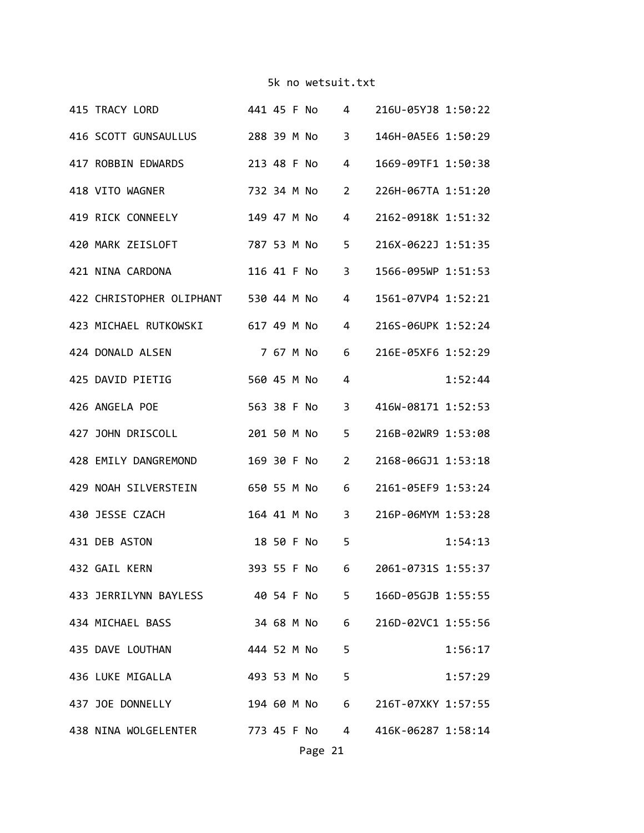| 415 TRACY LORD                                        |  | 441 45 F No   | $4 \quad$               | 216U-05YJ8 1:50:22               |         |
|-------------------------------------------------------|--|---------------|-------------------------|----------------------------------|---------|
| 416 SCOTT GUNSAULLUS 288 39 M No                      |  |               | 3 <sup>7</sup>          | 146H-0A5E6 1:50:29               |         |
| 417 ROBBIN EDWARDS                                    |  | 213 48 F No   | 4                       | 1669-09TF1 1:50:38               |         |
| 418 VITO WAGNER                                       |  | 732 34 M No   | $\overline{2}$          | 226H-067TA 1:51:20               |         |
| 419 RICK CONNEELY                                     |  | 149 47 M No   | 4                       | 2162-0918K 1:51:32               |         |
| 420 MARK ZEISLOFT                                     |  | 787 53 M No   | 5                       | 216X-0622J 1:51:35               |         |
| 421 NINA CARDONA                                      |  | 116 41 F No   | $\overline{\mathbf{3}}$ | 1566-095WP 1:51:53               |         |
| 422 CHRISTOPHER OLIPHANT 530 44 M No                  |  |               | $\overline{4}$          | 1561-07VP4 1:52:21               |         |
| 423 MICHAEL RUTKOWSKI 617 49 M No                     |  |               | $\overline{4}$          | 216S-06UPK 1:52:24               |         |
| 424 DONALD ALSEN                                      |  | 7 67 M No     | 6                       | 216E-05XF6 1:52:29               |         |
| 425 DAVID PIETIG                                      |  | 560 45 M No   | 4                       |                                  | 1:52:44 |
| 426 ANGELA POE                                        |  | 563 38 F No   | $\overline{3}$          | 416W-08171 1:52:53               |         |
| 427 JOHN DRISCOLL                                     |  | 201 50 M No   | 5                       | 216B-02WR9 1:53:08               |         |
| 428 EMILY DANGREMOND                                  |  | 169 30 F No 2 |                         | 2168-06GJ1 1:53:18               |         |
| 429 NOAH SILVERSTEIN 650 55 M No 6                    |  |               |                         | 2161-05EF9 1:53:24               |         |
| 430 JESSE CZACH                                       |  | 164 41 M No 3 |                         | 216P-06MYM 1:53:28               |         |
| 431 DEB ASTON                                         |  | 18 50 F No    | 5                       |                                  | 1:54:13 |
| 432 GAIL KERN                                         |  |               |                         | 393 55 F No 6 2061-0731S 1:55:37 |         |
| 433 JERRILYNN BAYLESS 40 54 F No 5 166D-05GJB 1:55:55 |  |               |                         |                                  |         |
| 434 MICHAEL BASS 34 68 M No 6 216D-02VC1 1:55:56      |  |               |                         |                                  |         |
| 435 DAVE LOUTHAN                                      |  | 444 52 M No 5 |                         |                                  | 1:56:17 |
| 436 LUKE MIGALLA 493 53 M No 5                        |  |               |                         |                                  | 1:57:29 |
| 437 JOE DONNELLY 194 60 M No 6 216T-07XKY 1:57:55     |  |               |                         |                                  |         |
| 438 NINA WOLGELENTER 773 45 F No 4 416K-06287 1:58:14 |  |               |                         |                                  |         |
|                                                       |  | Page 21       |                         |                                  |         |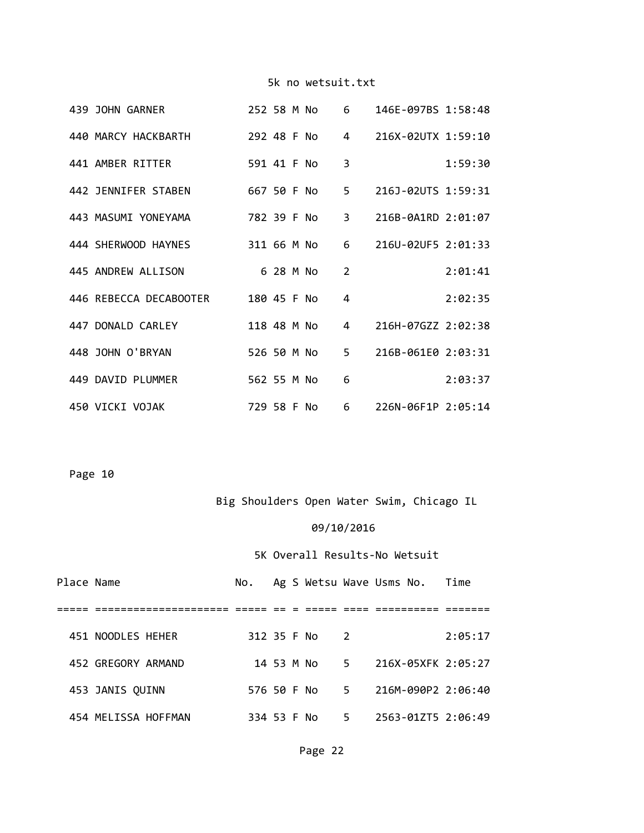|  | 439 JOHN GARNER        | 252 58 M No |  |             | 6              | 146E-097BS 1:58:48 |         |
|--|------------------------|-------------|--|-------------|----------------|--------------------|---------|
|  | 440 MARCY HACKBARTH    | 292 48 F No |  |             | 4              | 216X-02UTX 1:59:10 |         |
|  | 441 AMBER RITTER       | 591 41 F No |  |             | 3              |                    | 1:59:30 |
|  | 442 JENNIFER STABEN    |             |  | 667 50 F No | $5 -$          | 216J-02UTS 1:59:31 |         |
|  | 443 MASUMI YONEYAMA    | 782 39 F No |  |             | $\mathbf{3}$   | 216B-0A1RD 2:01:07 |         |
|  | 444 SHERWOOD HAYNES    | 311 66 M No |  |             | 6              | 216U-02UF5 2:01:33 |         |
|  | 445 ANDREW ALLISON     | 628 M No    |  |             | $\overline{2}$ |                    | 2:01:41 |
|  | 446 REBECCA DECABOOTER | 180 45 F No |  |             | 4              |                    | 2:02:35 |
|  | 447 DONALD CARLEY      | 118 48 M No |  |             | 4              | 216H-07GZZ 2:02:38 |         |
|  | 448 JOHN O'BRYAN       | 526 50 M No |  |             | 5              | 216B-061E0 2:03:31 |         |
|  | 449 DAVID PLUMMER      | 562 55 M No |  |             | 6              |                    | 2:03:37 |
|  | 450 VICKI VOJAK        | 729 58 F No |  |             | 6 —            | 226N-06F1P 2:05:14 |         |

Page 10

Big Shoulders Open Water Swim, Chicago IL

## 09/10/2016

| Place Name |                     | No.         |  |              |       | Ag S Wetsu Wave Usms No. Time |         |
|------------|---------------------|-------------|--|--------------|-------|-------------------------------|---------|
|            |                     |             |  |              |       |                               |         |
|            | 451 NOODLES HEHER   | 312 35 F No |  |              | 2     |                               | 2:05:17 |
|            | 452 GREGORY ARMAND  |             |  | 14 53 M No 5 |       | 216X-05XFK 2:05:27            |         |
|            | 453 JANIS QUINN     |             |  | 576 50 F No  | $5 -$ | 216M-090P2 2:06:40            |         |
|            | 454 MELISSA HOFFMAN | 334 53 F No |  |              | 5.    | 2563-01ZT5 2:06:49            |         |